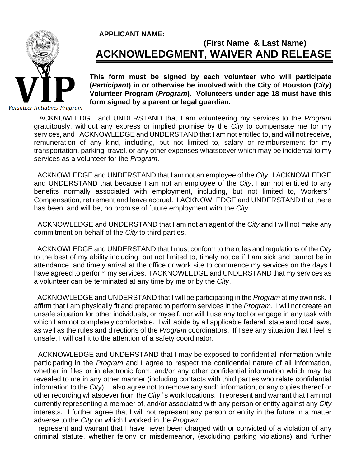## **APPLICANT NAME: \_\_\_\_\_\_\_\_\_\_\_\_\_\_\_\_\_\_\_\_\_\_\_\_\_\_\_\_\_\_\_\_\_\_\_\_\_\_\_\_\_\_**



## **(First Name & Last Name) ACKNOWLEDGMENT, WAIVER AND RELEASE**

**This form must be signed by each volunteer who will participate (***Participant***) in or otherwise be involved with the City of Houston (***City***) Volunteer Program (***Program***). Volunteers under age 18 must have this form signed by a parent or legal guardian.** 

Volunteer Initiatives Program

I ACKNOWLEDGE and UNDERSTAND that I am volunteering my services to the *Program* gratuitously, without any express or implied promise by the *City* to compensate me for my services, and I ACKNOWLEDGE and UNDERSTAND that I am not entitled to, and will not receive, remuneration of any kind, including, but not limited to, salary or reimbursement for my transportation, parking, travel, or any other expenses whatsoever which may be incidental to my services as a volunteer for the *Program*.

I ACKNOWLEDGE and UNDERSTAND that I am not an employee of the *City*. I ACKNOWLEDGE and UNDERSTAND that because I am not an employee of the *City*, I am not entitled to any benefits normally associated with employment, including, but not limited to, Workers' Compensation, retirement and leave accrual. I ACKNOWLEDGE and UNDERSTAND that there has been, and will be, no promise of future employment with the *City*.

I ACKNOWLEDGE and UNDERSTAND that I am not an agent of the *City* and I will not make any commitment on behalf of the *City* to third parties.

I ACKNOWLEDGE and UNDERSTAND that I must conform to the rules and regulations of the *City* to the best of my ability including, but not limited to, timely notice if I am sick and cannot be in attendance, and timely arrival at the office or work site to commence my services on the days I have agreed to perform my services. I ACKNOWLEDGE and UNDERSTAND that my services as a volunteer can be terminated at any time by me or by the *City*.

I ACKNOWLEDGE and UNDERSTAND that I will be participating in the *Program* at my own risk. I affirm that I am physically fit and prepared to perform services in the *Program*. I will not create an unsafe situation for other individuals, or myself, nor will I use any tool or engage in any task with which I am not completely comfortable. I will abide by all applicable federal, state and local laws, as well as the rules and directions of the *Program* coordinators. If I see any situation that I feel is unsafe, I will call it to the attention of a safety coordinator.

I ACKNOWLEDGE and UNDERSTAND that I may be exposed to confidential information while participating in the *Program* and I agree to respect the confidential nature of all information, whether in files or in electronic form, and/or any other confidential information which may be revealed to me in any other manner (including contacts with third parties who relate confidential information to the *City*). I also agree not to remove any such information, or any copies thereof or other recording whatsoever from the *City*'s work locations. I represent and warrant that I am not currently representing a member of, and/or associated with any person or entity against any *City* interests. I further agree that I will not represent any person or entity in the future in a matter adverse to the *City* on which I worked in the *Program*.

I represent and warrant that I have never been charged with or convicted of a violation of any criminal statute, whether felony or misdemeanor, (excluding parking violations) and further